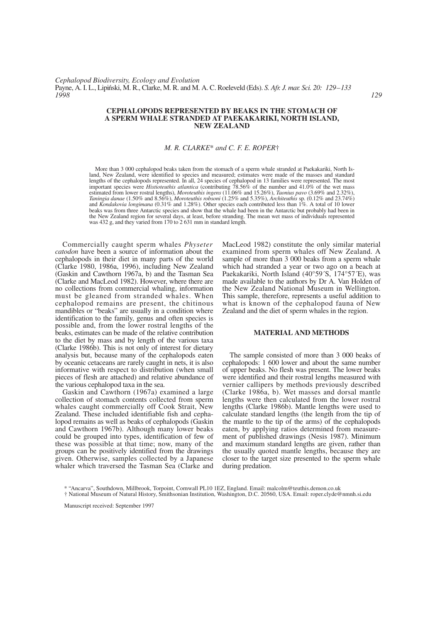### **CEPHALOPODS REPRESENTED BY BEAKS IN THE STOMACH OF A SPERM WHALE STRANDED AT PAEKAKARIKI, NORTH ISLAND, NEW ZEALAND**

# *M. R. CLARKE*\* *and C. F. E. ROPER*†

More than 3 000 cephalopod beaks taken from the stomach of a sperm whale stranded at Paekakariki, North Island, New Zealand, were identified to species and measured; estimates were made of the masses and standard lengths of the cephalopods represented. In all, 24 species of cephalopod in 13 families were represented. The most important species were *Histioteuthis atlantica* (contributing 78.56% of the number and 41.0% of the wet mass estimated from lower rostral lengths), *Moroteuthis ingens* (11.06% and 15.26%), *Taonius pavo* (3.69% and 2.32%), *Taningia danae* (1.50% and 8.56%), *Moroteuthis robsoni* (1.25% and 5.35%), *Architeuthis* sp. (0.12% and 23.74%) and *Kondakovia longimana* (0.31% and 1.28%). Other species each contributed less than 1%. A total of 10 lower beaks was from three Antarctic species and show that the whale had been in the Antarctic but probably had been in the New Zealand region for several days, at least, before stranding. The mean wet mass of individuals represented was 432 g, and they varied from 170 to 2 631 mm in standard length.

Commercially caught sperm whales *Physeter catodon* have been a source of information about the cephalopods in their diet in many parts of the world (Clarke 1980, 1986a, 1996), including New Zealand (Gaskin and Cawthorn 1967a, b) and the Tasman Sea (Clarke and MacLeod 1982). However, where there are no collections from commercial whaling, information must be gleaned from stranded whales. When cephalopod remains are present, the chitinous mandibles or "beaks" are usually in a condition where identification to the family, genus and often species is possible and, from the lower rostral lengths of the beaks, estimates can be made of the relative contribution to the diet by mass and by length of the various taxa (Clarke 1986b). This is not only of interest for dietary analysis but, because many of the cephalopods eaten by oceanic cetaceans are rarely caught in nets, it is also informative with respect to distribution (when small pieces of flesh are attached) and relative abundance of the various cephalopod taxa in the sea.

Gaskin and Cawthorn (1967a) examined a large collection of stomach contents collected from sperm whales caught commercially off Cook Strait, New Zealand. These included identifiable fish and cephalopod remains as well as beaks of cephalopods (Gaskin and Cawthorn 1967b). Although many lower beaks could be grouped into types, identification of few of these was possible at that time; now, many of the groups can be positively identified from the drawings given. Otherwise, samples collected by a Japanese whaler which traversed the Tasman Sea (Clarke and MacLeod 1982) constitute the only similar material examined from sperm whales off New Zealand. A sample of more than 3 000 beaks from a sperm whale which had stranded a year or two ago on a beach at Paekakariki, North Island (40°59´S, 174°57´E), was made available to the authors by Dr A. Van Holden of the New Zealand National Museum in Wellington. This sample, therefore, represents a useful addition to what is known of the cephalopod fauna of New Zealand and the diet of sperm whales in the region.

## **MATERIAL AND METHODS**

The sample consisted of more than 3 000 beaks of cephalopods: 1 600 lower and about the same number of upper beaks. No flesh was present. The lower beaks were identified and their rostral lengths measured with vernier callipers by methods previously described (Clarke 1986a, b). Wet masses and dorsal mantle lengths were then calculated from the lower rostral lengths (Clarke 1986b). Mantle lengths were used to calculate standard lengths (the length from the tip of the mantle to the tip of the arms) of the cephalopods eaten, by applying ratios determined from measurement of published drawings (Nesis 1987). Minimum and maximum standard lengths are given, rather than the usually quoted mantle lengths, because they are closer to the target size presented to the sperm whale during predation.

Manuscript received: September 1997

<sup>\* &</sup>quot;Ancarva", Southdown, Millbrook, Torpoint, Cornwall PL10 1EZ, England. Email: malcolm@teuthis.demon.co.uk

<sup>†</sup> National Museum of Natural History, Smithsonian Institution, Washington, D.C. 20560, USA. Email: roper.clyde@nmnh.si.edu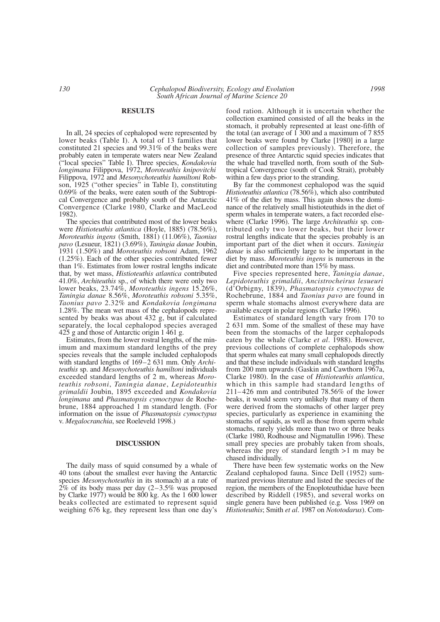#### **RESULTS**

In all, 24 species of cephalopod were represented by lower beaks (Table I). A total of 13 families that constituted 21 species and 99.31% of the beaks were probably eaten in temperate waters near New Zealand ("local species" Table I). Three species, *Kondakovia longimana* Filippova, 1972, *Moroteuthis knipovitchi* Filippova, 1972 and *Mesonychoteuthis hamiltoni* Robson, 1925 ("other species" in Table I), constituting 0.69% of the beaks, were eaten south of the Subtropical Convergence and probably south of the Antarctic Convergence (Clarke 1980, Clarke and MacLeod 1982).

The species that contributed most of the lower beaks were *Histioteuthis atlantica* (Hoyle, 1885) (78.56%), *Moroteuthis ingens* (Smith, 1881) (11.06%), *Taonius pavo* (Lesueur, 1821) (3.69%), *Taningia danae* Joubin, 1931 (1.50%) and *Moroteuthis robsoni* Adam, 1962 (1.25%). Each of the other species contributed fewer than 1%. Estimates from lower rostral lengths indicate that, by wet mass, *Histioteuthis atlantica* contributed 41.0%, *Architeuthis* sp., of which there were only two lower beaks, 23.74%, *Moroteuthis ingens* 15.26%, *Taningia danae* 8.56%, *Moroteuthis robsoni* 5.35%, *Taonius pavo* 2.32% and *Kondakovia longimana* 1.28%. The mean wet mass of the cephalopods represented by beaks was about 432 g, but if calculated separately, the local cephalopod species averaged 425 g and those of Antarctic origin 1 461 g.

Estimates, from the lower rostral lengths, of the minimum and maximum standard lengths of the prey species reveals that the sample included cephalopods with standard lengths of 169–2 631 mm. Only *Architeuthis* sp. and *Mesonychoteuthis hamiltoni* individuals exceeded standard lengths of 2 m, whereas *Moroteuthis robsoni*, *Taningia danae*, *Lepidoteuthis grimaldii* Joubin, 1895 exceeded and *Kondakovia longimana* and *Phasmatopsis cymoctypus* de Rochebrune, 1884 approached 1 m standard length. (For information on the issue of *Phasmatopsis cymoctypus* v. *Megalocranchia*, see Roeleveld 1998.)

## **DISCUSSION**

The daily mass of squid consumed by a whale of 40 tons (about the smallest ever having the Antarctic species *Mesonychoteuthis* in its stomach) at a rate of  $2\%$  of its body mass per day  $(2-3.5\%$  was proposed by Clarke 1977) would be 800 kg. As the 1 600 lower beaks collected are estimated to represent squid weighing 676 kg, they represent less than one day's

food ration. Although it is uncertain whether the collection examined consisted of all the beaks in the stomach, it probably represented at least one-fifth of the total (an average of 1 300 and a maximum of 7 855 lower beaks were found by Clarke [1980] in a large collection of samples previously). Therefore, the presence of three Antarctic squid species indicates that the whale had travelled north, from south of the Subtropical Convergence (south of Cook Strait), probably within a few days prior to the stranding.

By far the commonest cephalopod was the squid *Histioteuthis atlantica* (78.56%), which also contributed 41% of the diet by mass. This again shows the dominance of the relatively small histioteuthids in the diet of sperm whales in temperate waters, a fact recorded elsewhere (Clarke 1996). The large *Architeuthis* sp. contributed only two lower beaks, but their lower rostral lengths indicate that the species probably is an important part of the diet when it occurs. *Taningia danae* is also sufficiently large to be important in the diet by mass. *Moroteuthis ingens* is numerous in the diet and contributed more than 15% by mass.

Five species represented here, *Taningia danae*, *Lepidoteuthis grimaldii*, *Ancistrocheirus lesueuri* (d'Orbigny, 1839), *Phasmatopsis cymoctypus* de Rochebrune, 1884 and *Taonius pavo* are found in sperm whale stomachs almost everywhere data are available except in polar regions (Clarke 1996).

Estimates of standard length vary from 170 to 2 631 mm. Some of the smallest of these may have been from the stomachs of the larger cephalopods eaten by the whale (Clarke *et al*. 1988). However, previous collections of complete cephalopods show that sperm whales eat many small cephalopods directly and that these include individuals with standard lengths from 200 mm upwards (Gaskin and Cawthorn 1967a, Clarke 1980). In the case of *Histioteuthis atlantica*, which in this sample had standard lengths of 211–426 mm and contributed 78.56% of the lower beaks, it would seem very unlikely that many of them were derived from the stomachs of other larger prey species, particularly as experience in examining the stomachs of squids, as well as those from sperm whale stomachs, rarely yields more than two or three beaks (Clarke 1980, Rodhouse and Nigmatullin 1996). These small prey species are probably taken from shoals, whereas the prey of standard length >1 m may be chased individually.

There have been few systematic works on the New Zealand cephalopod fauna. Since Dell (1952) summarized previous literature and listed the species of the region, the members of the Enoploteuthidae have been described by Riddell (1985), and several works on single genera have been published (e.g. Voss 1969 on *Histioteuthis*; Smith *et al*. 1987 on *Nototodarus*). Com-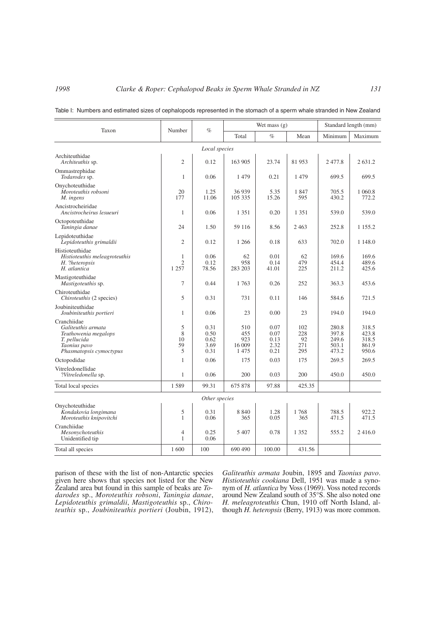| Taxon                                                                                                                | Number                         | $\%$                                 | Wet mass $(g)$                      |                                      |                                | Standard length (mm)                      |                                           |
|----------------------------------------------------------------------------------------------------------------------|--------------------------------|--------------------------------------|-------------------------------------|--------------------------------------|--------------------------------|-------------------------------------------|-------------------------------------------|
|                                                                                                                      |                                |                                      | Total                               | $\%$                                 | Mean                           | Minimum                                   | Maximum                                   |
| Local species                                                                                                        |                                |                                      |                                     |                                      |                                |                                           |                                           |
| Architeuthidae<br>Architeuthis sp.                                                                                   | $\overline{2}$                 | 0.12                                 | 163 905                             | 23.74                                | 81953                          | 2477.8                                    | 2 631.2                                   |
| Ommastrephidae<br>Todarodes sp.                                                                                      | 1                              | 0.06                                 | 1479                                | 0.21                                 | 1479                           | 699.5                                     | 699.5                                     |
| Onychoteuthidae<br>Moroteuthis robsoni<br>M. ingens                                                                  | 20<br>177                      | 1.25<br>11.06                        | 36939<br>105 335                    | 5.35<br>15.26                        | 1847<br>595                    | 705.5<br>430.2                            | 1 0 6 0.8<br>772.2                        |
| Ancistrocheiridae<br>Ancistrocheirus lesueuri                                                                        | 1                              | 0.06                                 | 1 3 5 1                             | 0.20                                 | 1 3 5 1                        | 539.0                                     | 539.0                                     |
| Octopoteuthidae<br>Taningia danae                                                                                    | 24                             | 1.50                                 | 59 116                              | 8.56                                 | 2463                           | 252.8                                     | 1 1 5 5 . 2                               |
| Lepidoteuthidae<br>Lepidoteuthis grimaldii                                                                           | $\overline{2}$                 | 0.12                                 | 1 2 6 6                             | 0.18                                 | 633                            | 702.0                                     | 1 148.0                                   |
| Histioteuthidae<br>Histioteuthis meleagroteuthis<br>H. ?heteropsis<br>H. atlantica                                   | 1<br>$\overline{c}$<br>1 2 5 7 | 0.06<br>0.12<br>78.56                | 62<br>958<br>283 203                | 0.01<br>0.14<br>41.01                | 62<br>479<br>225               | 169.6<br>454.4<br>211.2                   | 169.6<br>489.6<br>425.6                   |
| Mastigoteuthidae<br>Mastigoteuthis sp.                                                                               | 7                              | 0.44                                 | 1 763                               | 0.26                                 | 252                            | 363.3                                     | 453.6                                     |
| Chiroteuthidae<br>Chiroteuthis (2 species)                                                                           | 5                              | 0.31                                 | 731                                 | 0.11                                 | 146                            | 584.6                                     | 721.5                                     |
| Joubiniteuthidae<br>Joubiniteuthis portieri                                                                          | 1                              | 0.06                                 | 23                                  | 0.00                                 | 23                             | 194.0                                     | 194.0                                     |
| Cranchiidae<br>Galiteuthis armata<br>Teuthowenia megalops<br>T. pellucida<br>Taonius pavo<br>Phasmatopsis cymoctypus | 5<br>8<br>10<br>59<br>5        | 0.31<br>0.50<br>0.62<br>3.69<br>0.31 | 510<br>455<br>923<br>16 009<br>1475 | 0.07<br>0.07<br>0.13<br>2.32<br>0.21 | 102<br>228<br>92<br>271<br>295 | 280.8<br>397.8<br>249.6<br>503.1<br>473.2 | 318.5<br>423.8<br>318.5<br>861.9<br>950.6 |
| Octopodidae                                                                                                          | 1                              | 0.06                                 | 175                                 | 0.03                                 | 175                            | 269.5                                     | 269.5                                     |
| Vitreledonellidae<br>?Vitreledonella sp.                                                                             | 1                              | 0.06                                 | 200                                 | 0.03                                 | 200                            | 450.0                                     | 450.0                                     |
| Total local species                                                                                                  | 1589                           | 99.31                                | 675 878                             | 97.88                                | 425.35                         |                                           |                                           |
| Other species                                                                                                        |                                |                                      |                                     |                                      |                                |                                           |                                           |
| Onychoteuthidae<br>Kondakovia longimana<br>Moroteuthis knipovitchi                                                   | 5<br>1                         | 0.31<br>0.06                         | 8 8 4 0<br>365                      | 1.28<br>0.05                         | 1768<br>365                    | 788.5<br>471.5                            | 922.2<br>471.5                            |
| Cranchiidae<br>Mesonychoteuthis<br>Unidentified tip                                                                  | 4<br>1                         | 0.25<br>0.06                         | 5 4 0 7                             | 0.78                                 | 1 3 5 2                        | 555.2                                     | 2416.0                                    |
| Total all species                                                                                                    | 1 600                          | 100                                  | 690 490                             | 100.00                               | 431.56                         |                                           |                                           |

Table I: Numbers and estimated sizes of cephalopods represented in the stomach of a sperm whale stranded in New Zealand

parison of these with the list of non-Antarctic species given here shows that species not listed for the New Zealand area but found in this sample of beaks are *Todarodes* sp., *Moroteuthis robsoni*, *Taningia danae*, *Lepidoteuthis grimaldii*, *Mastigoteuthis* sp., *Chiroteuthis* sp., *Joubiniteuthis portieri* (Joubin, 1912),

*Galiteuthis armata* Joubin, 1895 and *Taonius pavo*. *Histioteuthis cookiana* Dell, 1951 was made a synonym of *H. atlantica* by Voss (1969). Voss noted records around New Zealand south of 35°S. She also noted one *H. meleagroteuthis* Chun, 1910 off North Island, although *H. heteropsis* (Berry, 1913) was more common.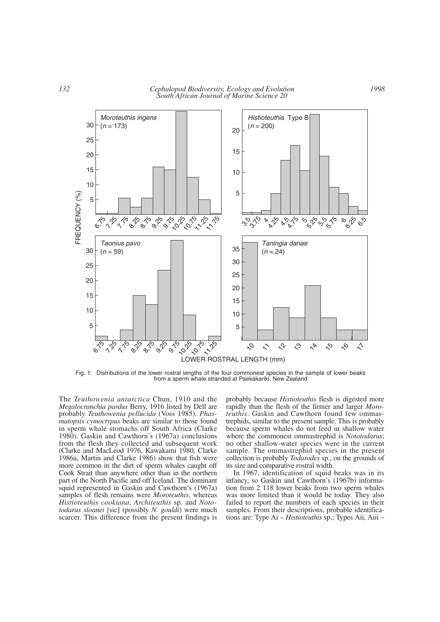*132 Cephalopod Biodiversity, Ecology and Evolution South African Journal of Marine Science 20*



Fig. 1: Distributions of the lower rostral lengths of the four commonest species in the sample of lower beaks from a sperm whale stranded at Paekakariki, New Zealand

The *Teuthowenia antarctica* Chun, 1910 and the *Megalocranchia pardus* Berry, 1916 listed by Dell are probably *Teuthowenia pellucida* (Voss 1985). *Phasmatopsis cymoctypus* beaks are similar to those found in sperm whale stomachs off South Africa (Clarke 1980). Gaskin and Cawthorn's (1967a) conclusions from the flesh they collected and subsequent work (Clarke and MacLeod 1976, Kawakami 1980, Clarke 1986a, Martin and Clarke 1986) show that fish were more common in the diet of sperm whales caught off Cook Strait than anywhere other than in the northern part of the North Pacific and off Iceland. The dominant squid represented in Gaskin and Cawthorn's (1967a) samples of flesh remains were *Moroteuthis*, whereas *Histioteuthis cookiana*, *Architeuthis* sp. and *Nototodarus sloanei* [sic] (possibly *N. gouldi*) were much scarcer. This difference from the present findings is probably because *Histioteuthis* flesh is digested more rapidly than the flesh of the firmer and larger *Moroteuthis*. Gaskin and Cawthorn found few ommastrephids, similar to the present sample. This is probably because sperm whales do not feed in shallow water where the commonest ommastrephid is *Nototodarus*; no other shallow-water species were in the current sample. The ommastrephid species in the present collection is probably *Todarodes* sp., on the grounds of its size and comparative rostral width.

In 1967, identification of squid beaks was in its infancy, so Gaskin and Cawthorn's (1967b) information from 2 118 lower beaks from two sperm whales was more limited than it would be today. They also failed to report the numbers of each species in their samples. From their descriptions, probable identifications are: Type Ai – *Histioteuthis* sp.; Types Aii, Aiii –